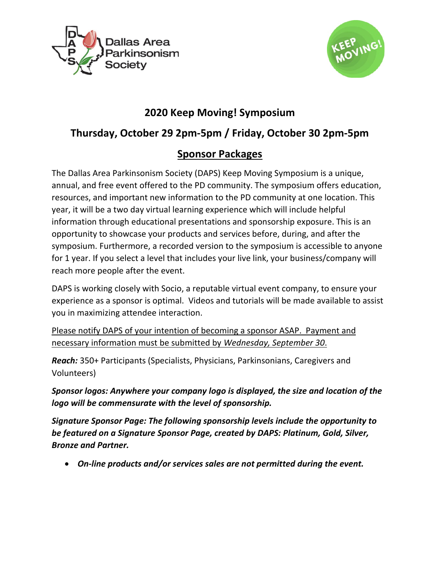



# **2020 Keep Moving! Symposium**

# **Thursday, October 29 2pm-5pm / Friday, October 30 2pm-5pm**

## **Sponsor Packages**

The Dallas Area Parkinsonism Society (DAPS) Keep Moving Symposium is a unique, annual, and free event offered to the PD community. The symposium offers education, resources, and important new information to the PD community at one location. This year, it will be a two day virtual learning experience which will include helpful information through educational presentations and sponsorship exposure. This is an opportunity to showcase your products and services before, during, and after the symposium. Furthermore, a recorded version to the symposium is accessible to anyone for 1 year. If you select a level that includes your live link, your business/company will reach more people after the event.

DAPS is working closely with Socio, a reputable virtual event company, to ensure your experience as a sponsor is optimal. Videos and tutorials will be made available to assist you in maximizing attendee interaction.

Please notify DAPS of your intention of becoming a sponsor ASAP. Payment and necessary information must be submitted by *Wednesday, September 30*.

*Reach:* 350+ Participants (Specialists, Physicians, Parkinsonians, Caregivers and Volunteers)

*Sponsor logos: Anywhere your company logo is displayed, the size and location of the logo will be commensurate with the level of sponsorship.* 

*Signature Sponsor Page: The following sponsorship levels include the opportunity to be featured on a Signature Sponsor Page, created by DAPS: Platinum, Gold, Silver, Bronze and Partner.*

• *On-line products and/or services sales are not permitted during the event.*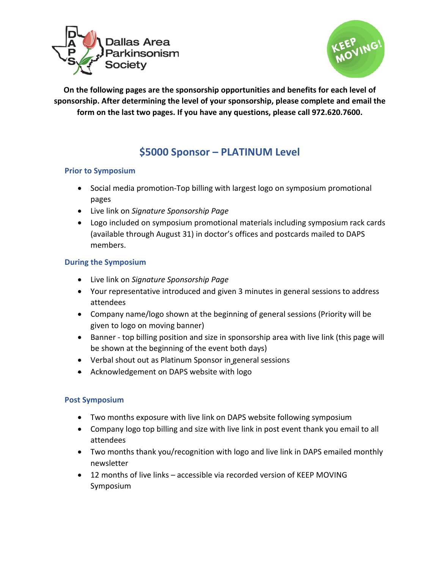



**On the following pages are the sponsorship opportunities and benefits for each level of sponsorship. After determining the level of your sponsorship, please complete and email the form on the last two pages. If you have any questions, please call 972.620.7600.** 

### **\$5000 Sponsor – PLATINUM Level**

### **Prior to Symposium**

- Social media promotion-Top billing with largest logo on symposium promotional pages
- Live link on *Signature Sponsorship Page*
- Logo included on symposium promotional materials including symposium rack cards (available through August 31) in doctor's offices and postcards mailed to DAPS members.

### **During the Symposium**

- Live link on *Signature Sponsorship Page*
- Your representative introduced and given 3 minutes in general sessions to address attendees
- Company name/logo shown at the beginning of general sessions (Priority will be given to logo on moving banner)
- Banner top billing position and size in sponsorship area with live link (this page will be shown at the beginning of the event both days)
- Verbal shout out as Platinum Sponsor in general sessions
- Acknowledgement on DAPS website with logo

- Two months exposure with live link on DAPS website following symposium
- Company logo top billing and size with live link in post event thank you email to all attendees
- Two months thank you/recognition with logo and live link in DAPS emailed monthly newsletter
- 12 months of live links accessible via recorded version of KEEP MOVING Symposium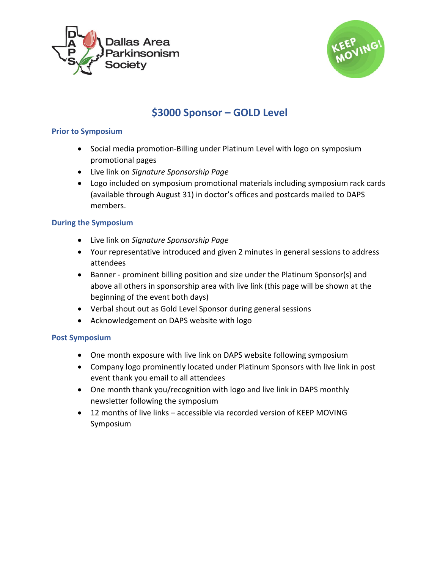



## **\$3000 Sponsor – GOLD Level**

### **Prior to Symposium**

- Social media promotion-Billing under Platinum Level with logo on symposium promotional pages
- Live link on *Signature Sponsorship Page*
- Logo included on symposium promotional materials including symposium rack cards (available through August 31) in doctor's offices and postcards mailed to DAPS members.

### **During the Symposium**

- Live link on *Signature Sponsorship Page*
- Your representative introduced and given 2 minutes in general sessions to address attendees
- Banner prominent billing position and size under the Platinum Sponsor(s) and above all others in sponsorship area with live link (this page will be shown at the beginning of the event both days)
- Verbal shout out as Gold Level Sponsor during general sessions
- Acknowledgement on DAPS website with logo

- One month exposure with live link on DAPS website following symposium
- Company logo prominently located under Platinum Sponsors with live link in post event thank you email to all attendees
- One month thank you/recognition with logo and live link in DAPS monthly newsletter following the symposium
- 12 months of live links accessible via recorded version of KEEP MOVING Symposium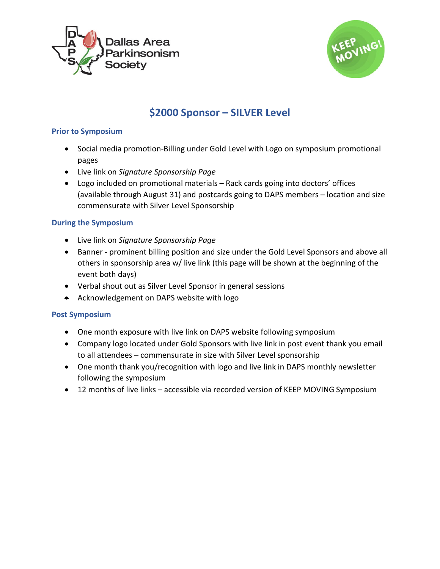



## **\$2000 Sponsor – SILVER Level**

### **Prior to Symposium**

- Social media promotion-Billing under Gold Level with Logo on symposium promotional pages
- Live link on *Signature Sponsorship Page*
- Logo included on promotional materials Rack cards going into doctors' offices (available through August 31) and postcards going to DAPS members – location and size commensurate with Silver Level Sponsorship

### **During the Symposium**

- Live link on *Signature Sponsorship Page*
- Banner prominent billing position and size under the Gold Level Sponsors and above all others in sponsorship area w/ live link (this page will be shown at the beginning of the event both days)
- Verbal shout out as Silver Level Sponsor in general sessions
- Acknowledgement on DAPS website with logo

- One month exposure with live link on DAPS website following symposium
- Company logo located under Gold Sponsors with live link in post event thank you email to all attendees – commensurate in size with Silver Level sponsorship
- One month thank you/recognition with logo and live link in DAPS monthly newsletter following the symposium
- 12 months of live links accessible via recorded version of KEEP MOVING Symposium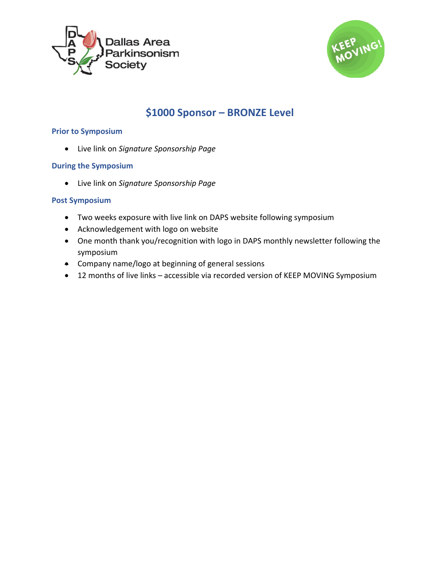



### **\$1000 Sponsor – BRONZE Level**

#### **Prior to Symposium**

• Live link on *Signature Sponsorship Page*

#### **During the Symposium**

• Live link on *Signature Sponsorship Page*

- Two weeks exposure with live link on DAPS website following symposium
- Acknowledgement with logo on website
- One month thank you/recognition with logo in DAPS monthly newsletter following the symposium
- Company name/logo at beginning of general sessions
- 12 months of live links accessible via recorded version of KEEP MOVING Symposium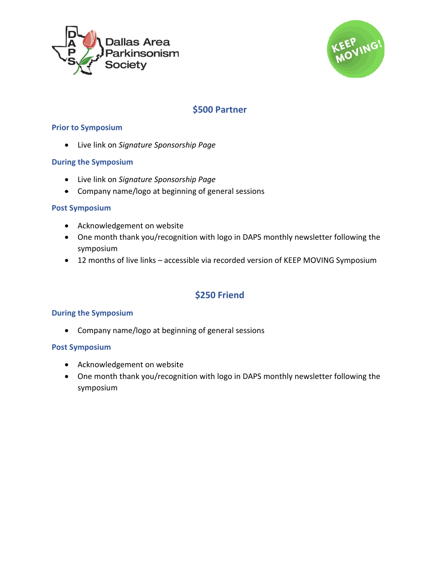



### **\$500 Partner**

### **Prior to Symposium**

• Live link on *Signature Sponsorship Page*

### **During the Symposium**

- Live link on *Signature Sponsorship Page*
- Company name/logo at beginning of general sessions

### **Post Symposium**

- Acknowledgement on website
- One month thank you/recognition with logo in DAPS monthly newsletter following the symposium
- 12 months of live links accessible via recorded version of KEEP MOVING Symposium

### **\$250 Friend**

### **During the Symposium**

• Company name/logo at beginning of general sessions

- Acknowledgement on website
- One month thank you/recognition with logo in DAPS monthly newsletter following the symposium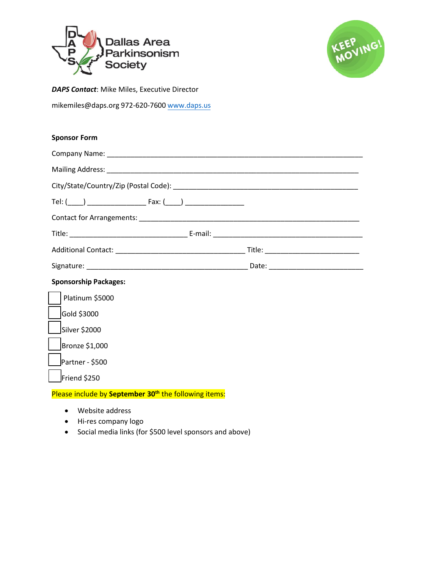



*DAPS Contact*: Mike Miles, Executive Director

mikemiles@daps.org 972-620-7600 [www.daps.us](http://www.daps.us/)

#### **Sponsor Form**

| <b>Sponsorship Packages:</b>                                      |  |
|-------------------------------------------------------------------|--|
| Platinum \$5000                                                   |  |
| Gold \$3000                                                       |  |
| i<br>L<br>Silver \$2000                                           |  |
| Bronze \$1,000                                                    |  |
| Partner - \$500                                                   |  |
| Friend \$250                                                      |  |
| Please include by September 30 <sup>th</sup> the following items: |  |

- Website address
- Hi-res company logo
- Social media links (for \$500 level sponsors and above)